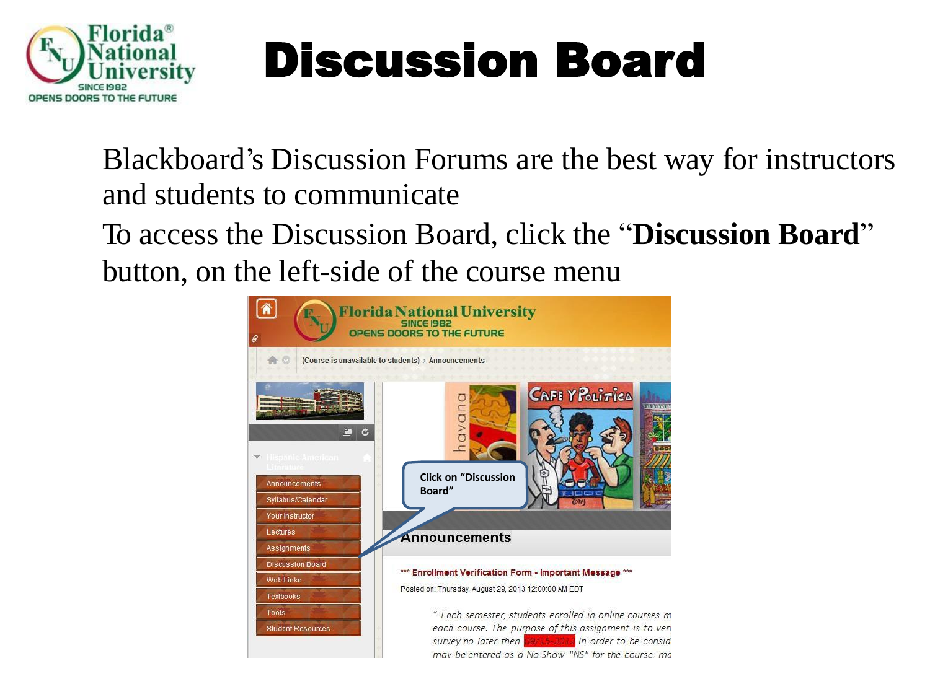

Blackboard's Discussion Forums are the best way for instructors and students to communicate

To access the Discussion Board, click the "**Discussion Board**" button, on the left-side of the course menu

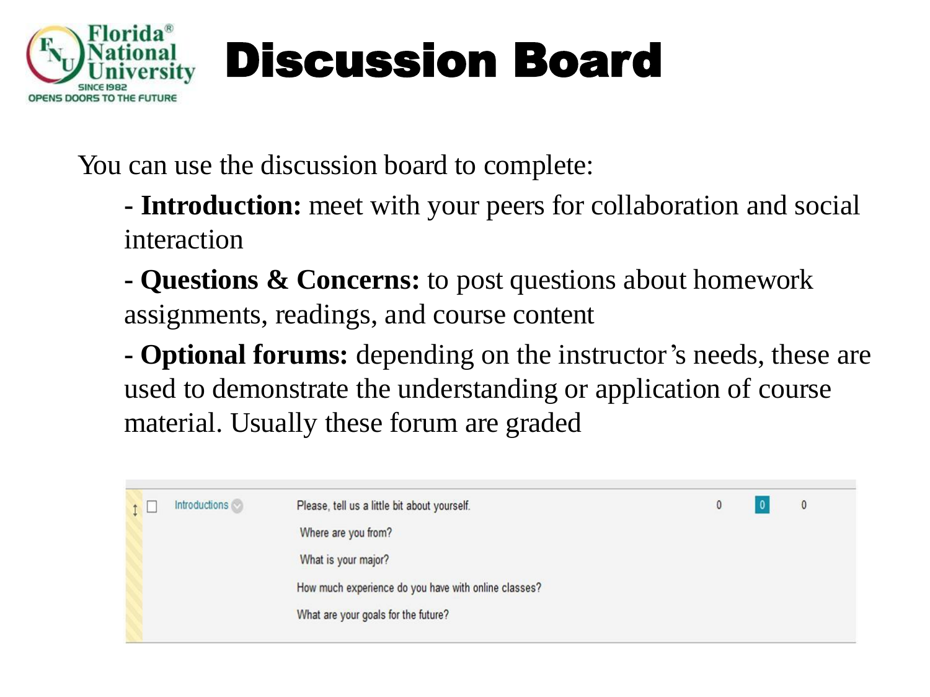

You can use the discussion board to complete:

- **- Introduction:** meet with your peers for collaboration and social interaction
- **- Questions & Concerns:** to post questions about homework assignments, readings, and course content

**- Optional forums:** depending on the instructor's needs, these are used to demonstrate the understanding or application of course material. Usually these forum are graded

|  | <b>Introductions</b> | Please, tell us a little bit about yourself.         |  |  | $\mathbf{0}$ |  |  |  |  |
|--|----------------------|------------------------------------------------------|--|--|--------------|--|--|--|--|
|  |                      | Where are you from?                                  |  |  |              |  |  |  |  |
|  |                      |                                                      |  |  |              |  |  |  |  |
|  |                      | How much experience do you have with online classes? |  |  |              |  |  |  |  |
|  |                      | What are your goals for the future?                  |  |  |              |  |  |  |  |
|  |                      |                                                      |  |  |              |  |  |  |  |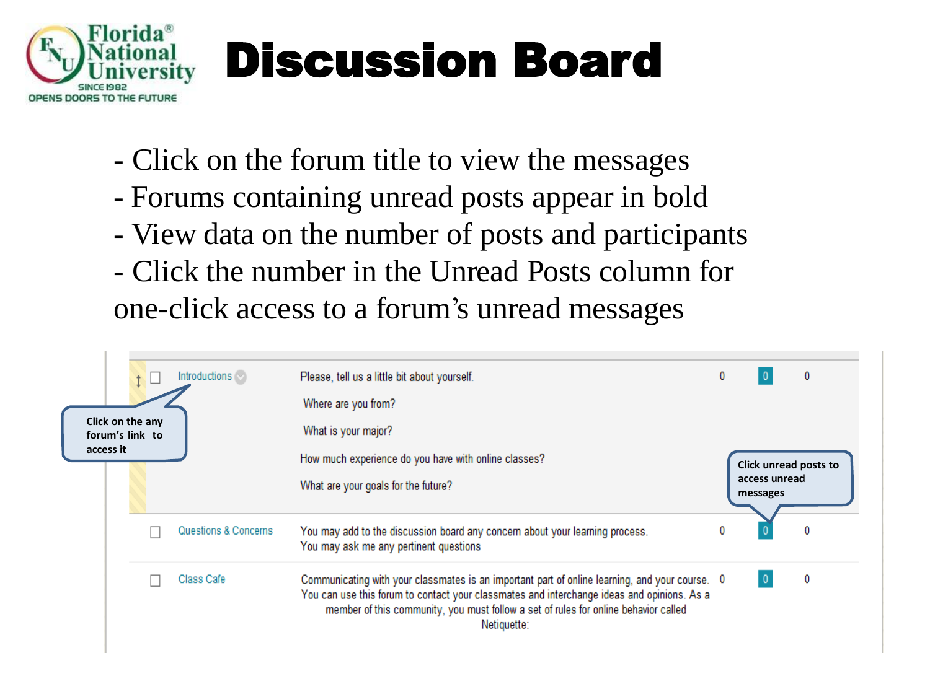

- Click on the forum title to view the messages
- Forums containing unread posts appear in bold
- View data on the number of posts and participants
- Click the number in the Unread Posts column for one-click access to a forum's unread messages

| Click on the any<br>forum's link to |  | Introductions $\heartsuit$ | Please, tell us a little bit about yourself.<br>Where are you from?<br>What is your major?                                                                                                                                                                                                         | $\mathbf{0}$ |                                                    | 0 |
|-------------------------------------|--|----------------------------|----------------------------------------------------------------------------------------------------------------------------------------------------------------------------------------------------------------------------------------------------------------------------------------------------|--------------|----------------------------------------------------|---|
| access it                           |  |                            | How much experience do you have with online classes?<br>What are your goals for the future?                                                                                                                                                                                                        |              | Click unread posts to<br>access unread<br>messages |   |
| Questions & Concerns                |  |                            | You may add to the discussion board any concern about your learning process.<br>You may ask me any pertinent questions                                                                                                                                                                             | $\bf{0}$     |                                                    |   |
|                                     |  | Class Cafe                 | Communicating with your classmates is an important part of online learning, and your course. 0<br>You can use this forum to contact your classmates and interchange ideas and opinions. As a<br>member of this community, you must follow a set of rules for online behavior called<br>Netiquette: |              |                                                    | 0 |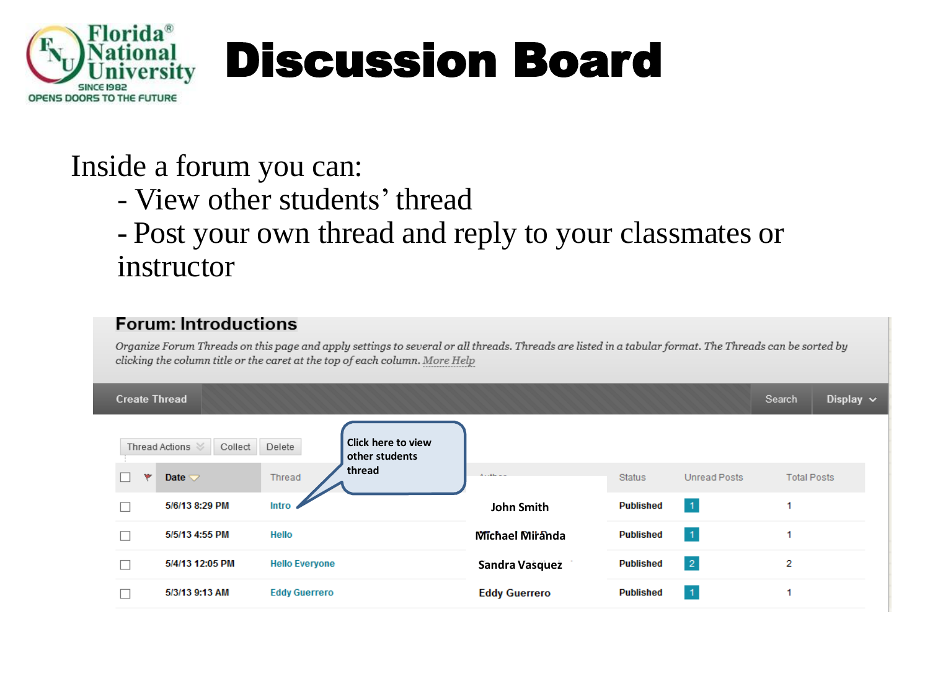

### Inside a forum you can:

- View other students' thread

### - Post your own thread and reply to your classmates or instructor

#### **Forum: Introductions**

Organize Forum Threads on this page and apply settings to several or all threads. Threads are listed in a tabular format. The Threads can be sorted by clicking the column title or the caret at the top of each column. More Help

| <b>Create Thread</b>         |                                                       |                      |                  |                 | Search             | Display $\sim$ |
|------------------------------|-------------------------------------------------------|----------------------|------------------|-----------------|--------------------|----------------|
| Thread Actions<br>Collect    | <b>Click here to view</b><br>Delete<br>other students |                      |                  |                 |                    |                |
| ۳<br>Date $\bigtriangledown$ | thread<br>Thread                                      | $A = -111$           | <b>Status</b>    | Unread Posts    | <b>Total Posts</b> |                |
| 5/6/13 8:29 PM               | Intro                                                 | <b>John Smith</b>    | <b>Published</b> | $\vert$ 1       |                    |                |
| 5/5/13 4:55 PM               | Hello                                                 | Michael Miranda      | <b>Published</b> | $\vert 1 \vert$ |                    |                |
| 5/4/13 12:05 PM              | <b>Hello Everyone</b>                                 | Sandra Vasquez       | <b>Published</b> | $\vert 2 \vert$ | 2                  |                |
| 5/3/13 9:13 AM               | <b>Eddy Guerrero</b>                                  | <b>Eddy Guerrero</b> | <b>Published</b> | $\vert$ 1       |                    |                |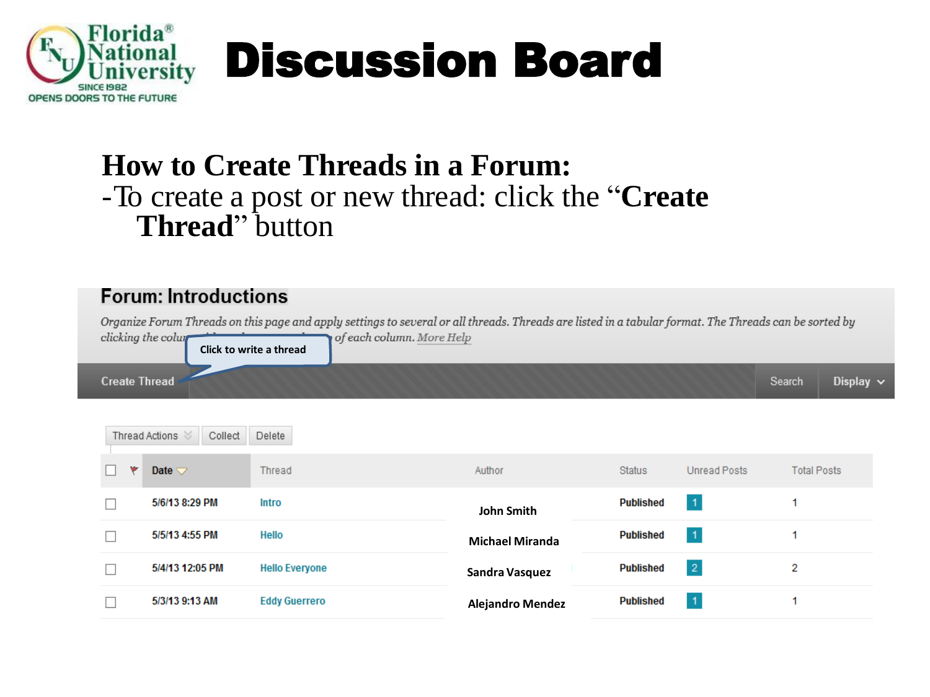

### **How to Create Threads in a Forum:** -To create a post or new thread: click the "**Create Thread**" button

### **Forum: Introductions**

Organize Forum Threads on this page and apply settings to several or all threads. Threads are listed in a tabular format. The Threads can be sorted by of each column. More Help clicking the colum



|    | Thread Actions<br>Collect | Delete                |                         |                  |              |                    |  |  |
|----|---------------------------|-----------------------|-------------------------|------------------|--------------|--------------------|--|--|
| ۷z | Date $\bigtriangledown$   | Thread                | Author                  | <b>Status</b>    | Unread Posts | <b>Total Posts</b> |  |  |
|    | 5/6/13 8:29 PM            | Intro                 | John Smith              | <b>Published</b> | 1            |                    |  |  |
|    | 5/5/13 4:55 PM            | Hello                 | <b>Michael Miranda</b>  | <b>Published</b> | $\mathbf{1}$ |                    |  |  |
|    | 5/4/13 12:05 PM           | <b>Hello Everyone</b> | Sandra Vasquez          | <b>Published</b> | $\mathbf{2}$ | 2                  |  |  |
|    | 5/3/13 9:13 AM            | <b>Eddy Guerrero</b>  | <b>Alejandro Mendez</b> | <b>Published</b> | 1            |                    |  |  |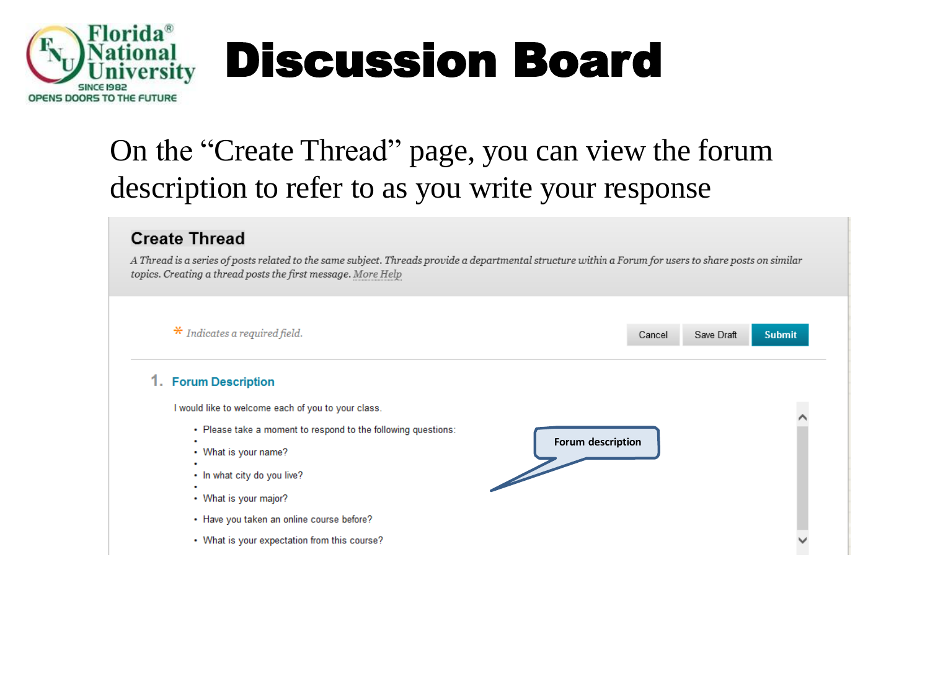

### On the "Create Thread" page, you can view the forum description to refer to as you write your response

#### **Create Thread**

A Thread is a series of posts related to the same subject. Threads provide a departmental structure within a Forum for users to share posts on similar topics. Creating a thread posts the first message. More Help

| $*$ Indicates a required field.                                                                                                                                                                                    | Cancel            | Save Draft | <b>Submit</b> |
|--------------------------------------------------------------------------------------------------------------------------------------------------------------------------------------------------------------------|-------------------|------------|---------------|
| 1. Forum Description                                                                                                                                                                                               |                   |            |               |
| I would like to welcome each of you to your class.<br>• Please take a moment to respond to the following questions:<br>۰<br>• What is your name?<br>۰<br>• In what city do you live?<br>۰<br>• What is your major? | Forum description |            |               |
| • Have you taken an online course before?<br>• What is your expectation from this course?                                                                                                                          |                   |            |               |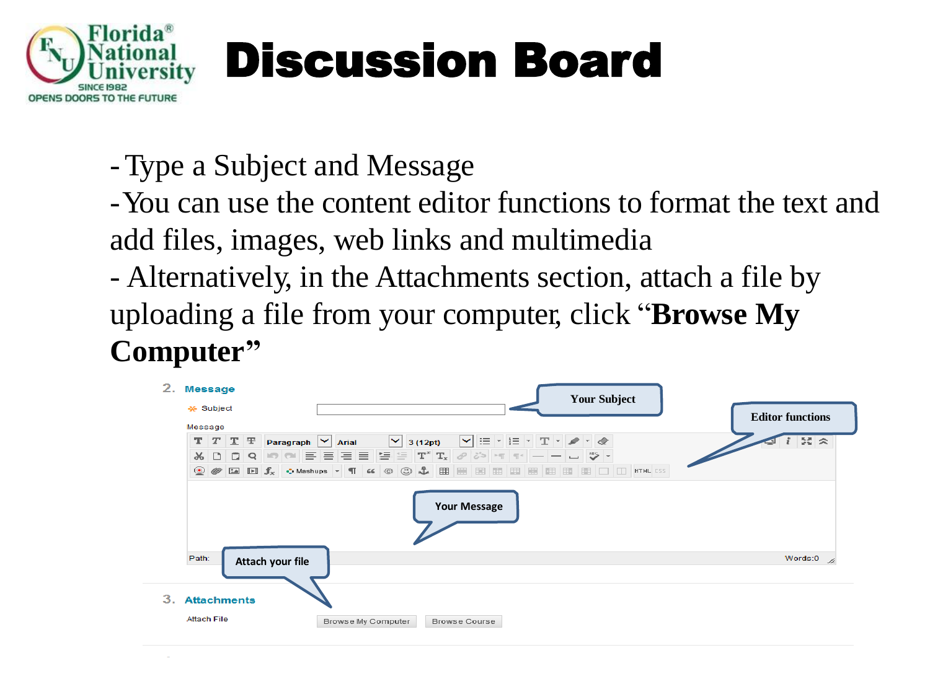

- -Type a Subject and Message
- -You can use the content editor functions to format the text and add files, images, web links and multimedia
- Alternatively, in the Attachments section, attach a file by uploading a file from your computer, click "**Browse My Computer"**

| 2. | <b>Message</b><br>* Subject |        |                    |  |                   |                                                             |         |  | <b>Your Subject</b>                                                                                                                                            |  | <b>Editor functions</b> |
|----|-----------------------------|--------|--------------------|--|-------------------|-------------------------------------------------------------|---------|--|----------------------------------------------------------------------------------------------------------------------------------------------------------------|--|-------------------------|
|    | Message                     |        |                    |  |                   |                                                             |         |  |                                                                                                                                                                |  |                         |
|    |                             |        | $T$ $T$ $T$ $F$    |  | Paragraph V Arial | $\mathord{\sim}$                                            | 3(12pt) |  | $\blacktriangleright  \mathrel{\coloneqq}  \cdot  \mathrel{\coloneqq}  \cdot  \mathrel{\mathbb{T}} \cdot  \mathrel{\mathscr{P}}  \cdot  \mathrel{\mathscr{Q}}$ |  | $55 \times$             |
|    | $\chi$                      | $\Box$ |                    |  |                   |                                                             |         |  | $\mathscr{O}[\mathbb{Z}^5]$ 's substitute of $    \mathbb{Z}$ $\mathbb{Z}$ $\mathbb{Z}$ $\mathbb{Z}$                                                           |  |                         |
|    |                             |        |                    |  |                   | <b>◎ ⊘ 国日£</b> ◆ Mashups ▼ ¶ 4 © ⓒ ↓ 囲囲囲囲囲囲囲囲囲囲目□□ HTML CSS |         |  |                                                                                                                                                                |  |                         |
|    |                             |        |                    |  |                   |                                                             |         |  |                                                                                                                                                                |  |                         |
|    | Path:                       |        |                    |  | Attach your file  |                                                             |         |  |                                                                                                                                                                |  | Words:0                 |
|    |                             |        | <b>Attachments</b> |  |                   |                                                             |         |  |                                                                                                                                                                |  |                         |
| 3. |                             |        |                    |  |                   |                                                             |         |  |                                                                                                                                                                |  |                         |